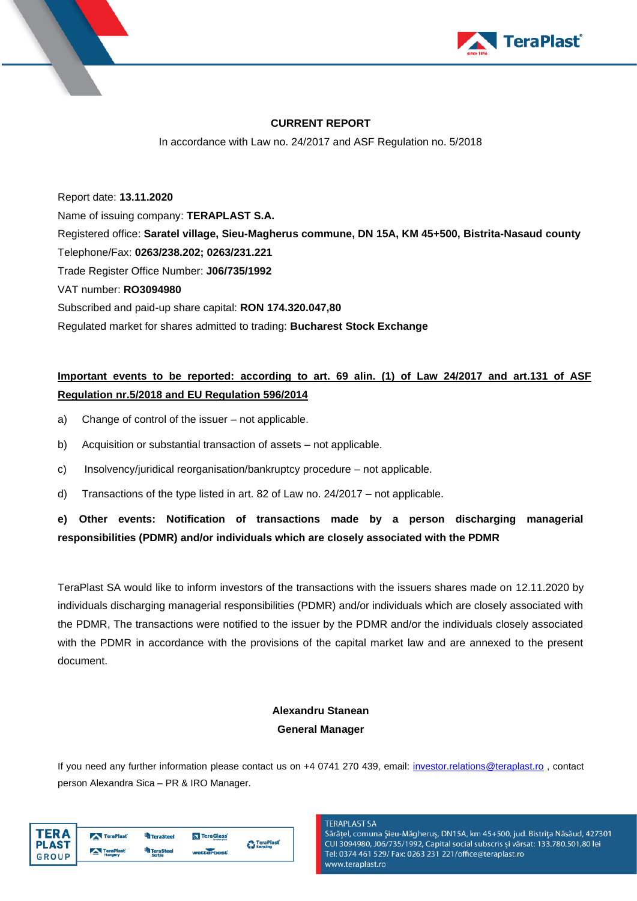



#### **CURRENT REPORT**

In accordance with Law no. 24/2017 and ASF Regulation no. 5/2018

Report date: **13.11.2020** Name of issuing company: **TERAPLAST S.A.** Registered office: **Saratel village, Sieu-Magherus commune, DN 15A, KM 45+500, Bistrita-Nasaud county** Telephone/Fax: **0263/238.202; 0263/231.221** Trade Register Office Number: **J06/735/1992** VAT number: **RO3094980** Subscribed and paid-up share capital: **RON 174.320.047,80** Regulated market for shares admitted to trading: **Bucharest Stock Exchange**

# **Important events to be reported: according to art. 69 alin. (1) of Law 24/2017 and art.131 of ASF Regulation nr.5/2018 and EU Regulation 596/2014**

- a) Change of control of the issuer not applicable.
- b) Acquisition or substantial transaction of assets not applicable.
- c) Insolvency/juridical reorganisation/bankruptcy procedure not applicable.
- d) Transactions of the type listed in art. 82 of Law no. 24/2017 not applicable.

# **e) Other events: Notification of transactions made by a person discharging managerial responsibilities (PDMR) and/or individuals which are closely associated with the PDMR**

TeraPlast SA would like to inform investors of the transactions with the issuers shares made on 12.11.2020 by individuals discharging managerial responsibilities (PDMR) and/or individuals which are closely associated with the PDMR, The transactions were notified to the issuer by the PDMR and/or the individuals closely associated with the PDMR in accordance with the provisions of the capital market law and are annexed to the present document.

# **Alexandru Stanean General Manager**

If you need any further information please contact us on +4 0741 270 439, email: [investor.relations@teraplast.ro](mailto:investor.relations@teraplast.ro) , contact person Alexandra Sica – PR & IRO Manager.

| TFR A        | TeraPlast | <b>TeraSteel</b> | TeraGlass <sup>®</sup> | <b>A</b> TeraPlast |
|--------------|-----------|------------------|------------------------|--------------------|
| <b>PLAST</b> |           | <b>TeraSteel</b> |                        | <b>Recycling</b>   |
| <b>GROUP</b> | TeraPlast | Serbia           | wetterbest             |                    |

#### **TERAPLAST SA**

Sărățel, comuna Șieu-Măgheruș, DN15A, km 45+500, jud. Bistrița Năsăud, 427301 CUI 3094980, J06/735/1992, Capital social subscris și vărsat: 133.780.501,80 lei Tel: 0374 461 529/ Fax: 0263 231 221/office@teraplast.ro www.teraplast.ro